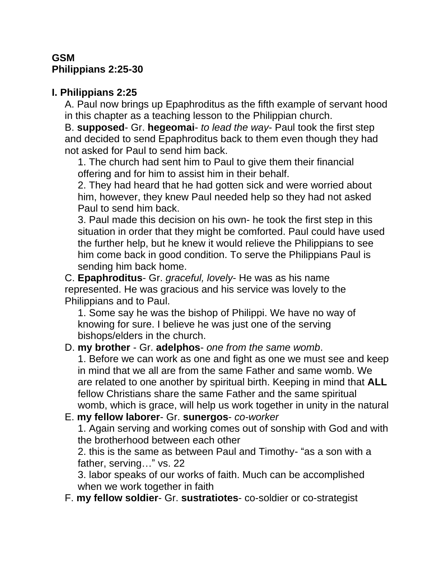### **GSM Philippians 2:25-30**

#### **I. Philippians 2:25**

A. Paul now brings up Epaphroditus as the fifth example of servant hood in this chapter as a teaching lesson to the Philippian church.

B. **supposed**- Gr. **hegeomai**- *to lead the way*- Paul took the first step and decided to send Epaphroditus back to them even though they had not asked for Paul to send him back.

1. The church had sent him to Paul to give them their financial offering and for him to assist him in their behalf.

2. They had heard that he had gotten sick and were worried about him, however, they knew Paul needed help so they had not asked Paul to send him back.

3. Paul made this decision on his own- he took the first step in this situation in order that they might be comforted. Paul could have used the further help, but he knew it would relieve the Philippians to see him come back in good condition. To serve the Philippians Paul is sending him back home.

C. **Epaphroditus**- Gr. *graceful, lovely*- He was as his name represented. He was gracious and his service was lovely to the Philippians and to Paul.

1. Some say he was the bishop of Philippi. We have no way of knowing for sure. I believe he was just one of the serving bishops/elders in the church.

#### D. **my brother** - Gr. **adelphos**- *one from the same womb*.

1. Before we can work as one and fight as one we must see and keep in mind that we all are from the same Father and same womb. We are related to one another by spiritual birth. Keeping in mind that **ALL** fellow Christians share the same Father and the same spiritual womb, which is grace, will help us work together in unity in the natural

#### E. **my fellow laborer**- Gr. **sunergos**- *co-worker*

1. Again serving and working comes out of sonship with God and with the brotherhood between each other

2. this is the same as between Paul and Timothy- "as a son with a father, serving…" vs. 22

3. labor speaks of our works of faith. Much can be accomplished when we work together in faith

F. **my fellow soldier**- Gr. **sustratiotes**- co-soldier or co-strategist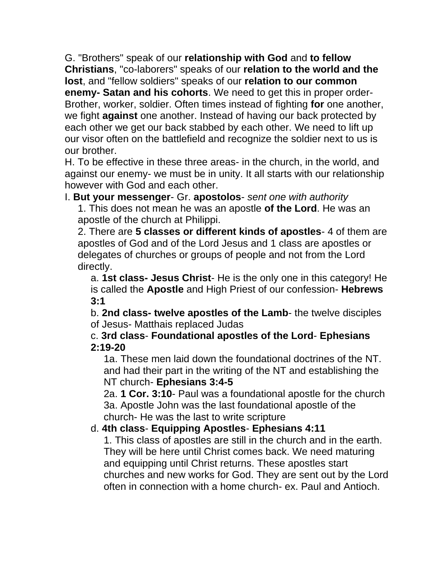G. "Brothers" speak of our **relationship with God** and **to fellow Christians**, "co-laborers" speaks of our **relation to the world and the lost**, and "fellow soldiers" speaks of our **relation to our common enemy- Satan and his cohorts**. We need to get this in proper order-

Brother, worker, soldier. Often times instead of fighting **for** one another, we fight **against** one another. Instead of having our back protected by each other we get our back stabbed by each other. We need to lift up our visor often on the battlefield and recognize the soldier next to us is our brother.

H. To be effective in these three areas- in the church, in the world, and against our enemy- we must be in unity. It all starts with our relationship however with God and each other.

I. **But your messenger**- Gr. **apostolos**- *sent one with authority*

1. This does not mean he was an apostle **of the Lord**. He was an apostle of the church at Philippi.

2. There are **5 classes or different kinds of apostles**- 4 of them are apostles of God and of the Lord Jesus and 1 class are apostles or delegates of churches or groups of people and not from the Lord directly.

a. **1st class- Jesus Christ**- He is the only one in this category! He is called the **Apostle** and High Priest of our confession- **Hebrews 3:1**

b. **2nd class- twelve apostles of the Lamb**- the twelve disciples of Jesus- Matthais replaced Judas

c. **3rd class**- **Foundational apostles of the Lord**- **Ephesians 2:19-20**

1a. These men laid down the foundational doctrines of the NT. and had their part in the writing of the NT and establishing the NT church- **Ephesians 3:4-5**

2a. **1 Cor. 3:10**- Paul was a foundational apostle for the church 3a. Apostle John was the last foundational apostle of the church- He was the last to write scripture

## d. **4th class**- **Equipping Apostles**- **Ephesians 4:11**

1. This class of apostles are still in the church and in the earth. They will be here until Christ comes back. We need maturing and equipping until Christ returns. These apostles start churches and new works for God. They are sent out by the Lord often in connection with a home church- ex. Paul and Antioch.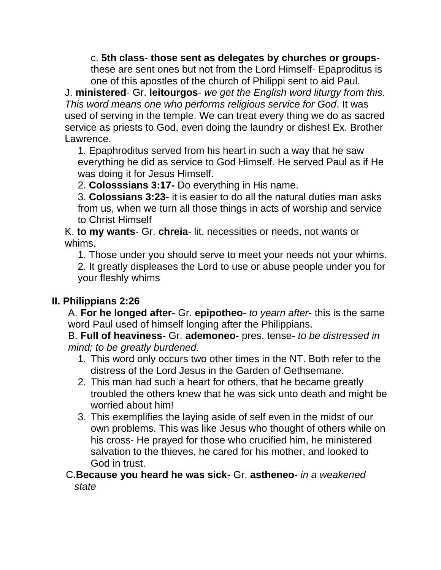#### c. **5th class**- **those sent as delegates by churches or groups**-

these are sent ones but not from the Lord Himself- Epaproditus is one of this apostles of the church of Philippi sent to aid Paul.

J. **ministered**- Gr. **leitourgos**- *we get the English word liturgy from this. This word means one who performs religious service for God*. It was used of serving in the temple. We can treat every thing we do as sacred service as priests to God, even doing the laundry or dishes! Ex. Brother Lawrence.

1. Epaphroditus served from his heart in such a way that he saw everything he did as service to God Himself. He served Paul as if He was doing it for Jesus Himself.

2. **Colosssians 3:17-** Do everything in His name.

3. **Colossians 3:23**- it is easier to do all the natural duties man asks from us, when we turn all those things in acts of worship and service to Christ Himself

K. **to my wants**- Gr. **chreia**- lit. necessities or needs, not wants or whims.

1. Those under you should serve to meet your needs not your whims. 2. It greatly displeases the Lord to use or abuse people under you for your fleshly whims

#### **II. Philippians 2:26**

A. **For he longed after**- Gr. **epipotheo**- *to yearn after*- this is the same word Paul used of himself longing after the Philippians.

B. **Full of heaviness**- Gr. **ademoneo**- pres. tense*- to be distressed in mind; to be greatly burdened.*

- 1. This word only occurs two other times in the NT. Both refer to the distress of the Lord Jesus in the Garden of Gethsemane.
- 2. This man had such a heart for others, that he became greatly troubled the others knew that he was sick unto death and might be worried about him!
- 3. This exemplifies the laying aside of self even in the midst of our own problems. This was like Jesus who thought of others while on his cross- He prayed for those who crucified him, he ministered salvation to the thieves, he cared for his mother, and looked to God in trust.

C**.Because you heard he was sick-** Gr. **astheneo**- *in a weakened state*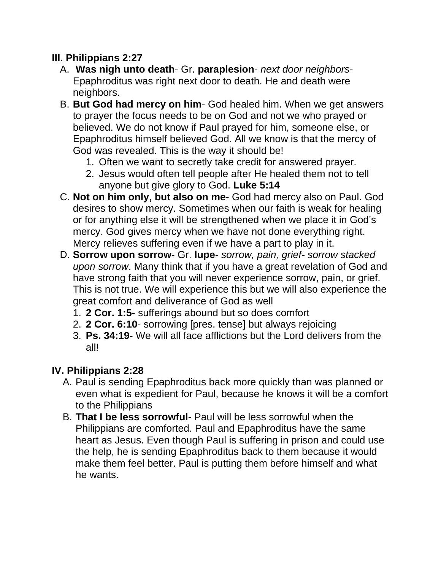### **III. Philippians 2:27**

- A. **Was nigh unto death** Gr. **paraplesion** *next door neighbors*-Epaphroditus was right next door to death. He and death were neighbors.
- B. **But God had mercy on him** God healed him. When we get answers to prayer the focus needs to be on God and not we who prayed or believed. We do not know if Paul prayed for him, someone else, or Epaphroditus himself believed God. All we know is that the mercy of God was revealed. This is the way it should be!
	- 1. Often we want to secretly take credit for answered prayer.
	- 2. Jesus would often tell people after He healed them not to tell anyone but give glory to God. **Luke 5:14**
- C. **Not on him only, but also on me** God had mercy also on Paul. God desires to show mercy. Sometimes when our faith is weak for healing or for anything else it will be strengthened when we place it in God's mercy. God gives mercy when we have not done everything right. Mercy relieves suffering even if we have a part to play in it.
- D. **Sorrow upon sorrow** Gr. **lupe** *sorrow, pain, grief- sorrow stacked upon sorrow*. Many think that if you have a great revelation of God and have strong faith that you will never experience sorrow, pain, or grief. This is not true. We will experience this but we will also experience the great comfort and deliverance of God as well
	- 1. **2 Cor. 1:5** sufferings abound but so does comfort
	- 2. **2 Cor. 6:10** sorrowing [pres. tense] but always rejoicing
	- 3. **Ps. 34:19** We will all face afflictions but the Lord delivers from the all!

## **IV. Philippians 2:28**

- A. Paul is sending Epaphroditus back more quickly than was planned or even what is expedient for Paul, because he knows it will be a comfort to the Philippians
- B. **That I be less sorrowful** Paul will be less sorrowful when the Philippians are comforted. Paul and Epaphroditus have the same heart as Jesus. Even though Paul is suffering in prison and could use the help, he is sending Epaphroditus back to them because it would make them feel better. Paul is putting them before himself and what he wants.